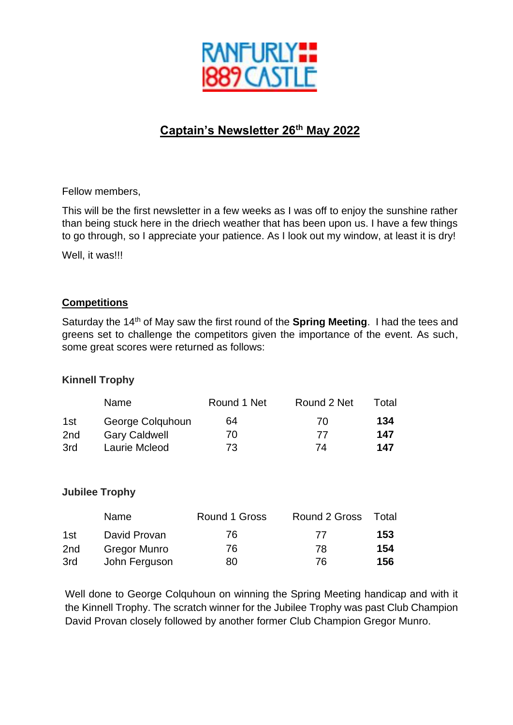

# **Captain's Newsletter 26th May 2022**

Fellow members,

This will be the first newsletter in a few weeks as I was off to enjoy the sunshine rather than being stuck here in the driech weather that has been upon us. I have a few things to go through, so I appreciate your patience. As I look out my window, at least it is dry!

Well, it was!!!

#### **Competitions**

Saturday the 14th of May saw the first round of the **Spring Meeting**. I had the tees and greens set to challenge the competitors given the importance of the event. As such, some great scores were returned as follows:

#### **Kinnell Trophy**

|                 | <b>Name</b>          | Round 1 Net | Round 2 Net | Total |
|-----------------|----------------------|-------------|-------------|-------|
| 1st             | George Colquhoun     | 64          | 70          | 134   |
| 2 <sub>nd</sub> | <b>Gary Caldwell</b> | 70          | -77         | 147   |
| 3rd             | Laurie Mcleod        | 73          | 74          | 147   |

#### **Jubilee Trophy**

|     | Name          | Round 1 Gross | Round 2 Gross | Total |
|-----|---------------|---------------|---------------|-------|
| 1st | David Provan  | 76            | 77            | 153   |
| 2nd | Gregor Munro  | 76            | 78            | 154   |
| 3rd | John Ferguson | 80            | 76.           | 156   |

Well done to George Colquhoun on winning the Spring Meeting handicap and with it the Kinnell Trophy. The scratch winner for the Jubilee Trophy was past Club Champion David Provan closely followed by another former Club Champion Gregor Munro.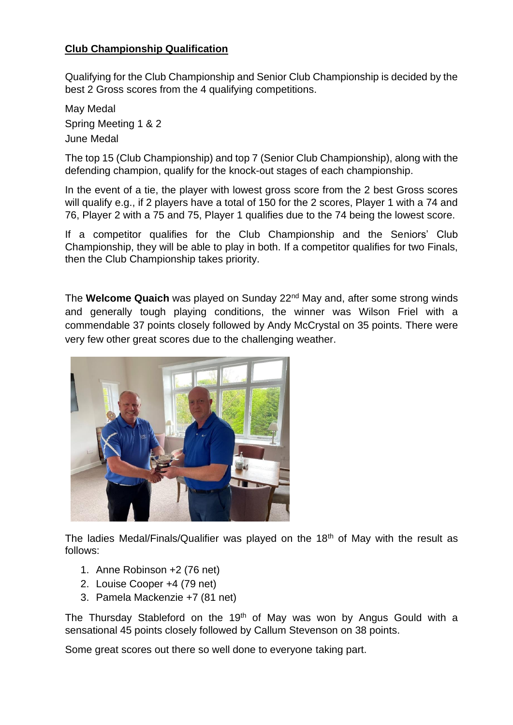# **Club Championship Qualification**

Qualifying for the Club Championship and Senior Club Championship is decided by the best 2 Gross scores from the 4 qualifying competitions.

May Medal Spring Meeting 1 & 2 June Medal

The top 15 (Club Championship) and top 7 (Senior Club Championship), along with the defending champion, qualify for the knock-out stages of each championship.

In the event of a tie, the player with lowest gross score from the 2 best Gross scores will qualify e.g., if 2 players have a total of 150 for the 2 scores, Player 1 with a 74 and 76, Player 2 with a 75 and 75, Player 1 qualifies due to the 74 being the lowest score.

If a competitor qualifies for the Club Championship and the Seniors' Club Championship, they will be able to play in both. If a competitor qualifies for two Finals, then the Club Championship takes priority.

The **Welcome Quaich** was played on Sunday 22nd May and, after some strong winds and generally tough playing conditions, the winner was Wilson Friel with a commendable 37 points closely followed by Andy McCrystal on 35 points. There were very few other great scores due to the challenging weather.



The ladies Medal/Finals/Qualifier was played on the 18<sup>th</sup> of May with the result as follows:

- 1. Anne Robinson +2 (76 net)
- 2. Louise Cooper +4 (79 net)
- 3. Pamela Mackenzie +7 (81 net)

The Thursday Stableford on the 19<sup>th</sup> of May was won by Angus Gould with a sensational 45 points closely followed by Callum Stevenson on 38 points.

Some great scores out there so well done to everyone taking part.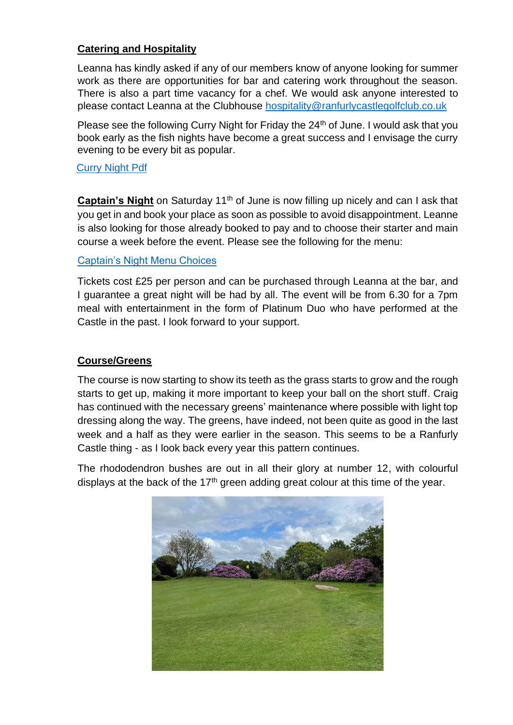# **Catering and Hospitality**

Leanna has kindly asked if any of our members know of anyone looking for summer work as there are opportunities for bar and catering work throughout the season. There is also a part time vacancy for a chef. We would ask anyone interested to please contact Leanna at the Clubhouse [hospitality@ranfurlycastlegolfclub.co.uk](mailto:hospitality@ranfurlycastlegolfclub.co.uk)

Please see the following Curry Night for Friday the 24<sup>th</sup> of June. I would ask that you book early as the fish nights have become a great success and I envisage the curry evening to be every bit as popular.

#### [Curry Night Pdf](https://www.ranfurlycastlegolfclub.co.uk/uploads/document/curry-night-240622.pdf)

**Captain's Night** on Saturday 11<sup>th</sup> of June is now filling up nicely and can I ask that you get in and book your place as soon as possible to avoid disappointment. Leanne is also looking for those already booked to pay and to choose their starter and main course a week before the event. Please see the following for the menu:

#### [Captain's Night Menu Choices](https://www.ranfurlycastlegolfclub.co.uk/uploads/document/captains-night-menu-options.pdf)

Tickets cost £25 per person and can be purchased through Leanna at the bar, and I guarantee a great night will be had by all. The event will be from 6.30 for a 7pm meal with entertainment in the form of Platinum Duo who have performed at the Castle in the past. I look forward to your support.

#### **Course/Greens**

The course is now starting to show its teeth as the grass starts to grow and the rough starts to get up, making it more important to keep your ball on the short stuff. Craig has continued with the necessary greens' maintenance where possible with light top dressing along the way. The greens, have indeed, not been quite as good in the last week and a half as they were earlier in the season. This seems to be a Ranfurly Castle thing - as I look back every year this pattern continues.

The rhododendron bushes are out in all their glory at number 12, with colourful displays at the back of the  $17<sup>th</sup>$  green adding great colour at this time of the year.

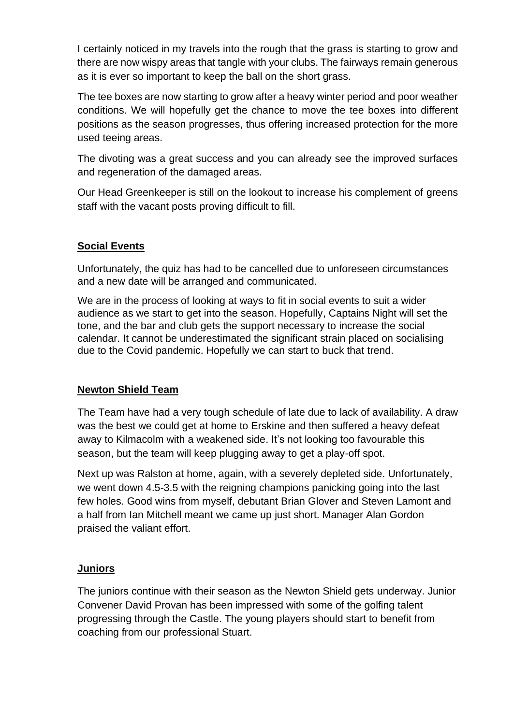I certainly noticed in my travels into the rough that the grass is starting to grow and there are now wispy areas that tangle with your clubs. The fairways remain generous as it is ever so important to keep the ball on the short grass.

The tee boxes are now starting to grow after a heavy winter period and poor weather conditions. We will hopefully get the chance to move the tee boxes into different positions as the season progresses, thus offering increased protection for the more used teeing areas.

The divoting was a great success and you can already see the improved surfaces and regeneration of the damaged areas.

Our Head Greenkeeper is still on the lookout to increase his complement of greens staff with the vacant posts proving difficult to fill.

# **Social Events**

Unfortunately, the quiz has had to be cancelled due to unforeseen circumstances and a new date will be arranged and communicated.

We are in the process of looking at ways to fit in social events to suit a wider audience as we start to get into the season. Hopefully, Captains Night will set the tone, and the bar and club gets the support necessary to increase the social calendar. It cannot be underestimated the significant strain placed on socialising due to the Covid pandemic. Hopefully we can start to buck that trend.

## **Newton Shield Team**

The Team have had a very tough schedule of late due to lack of availability. A draw was the best we could get at home to Erskine and then suffered a heavy defeat away to Kilmacolm with a weakened side. It's not looking too favourable this season, but the team will keep plugging away to get a play-off spot.

Next up was Ralston at home, again, with a severely depleted side. Unfortunately, we went down 4.5-3.5 with the reigning champions panicking going into the last few holes. Good wins from myself, debutant Brian Glover and Steven Lamont and a half from Ian Mitchell meant we came up just short. Manager Alan Gordon praised the valiant effort.

## **Juniors**

The juniors continue with their season as the Newton Shield gets underway. Junior Convener David Provan has been impressed with some of the golfing talent progressing through the Castle. The young players should start to benefit from coaching from our professional Stuart.